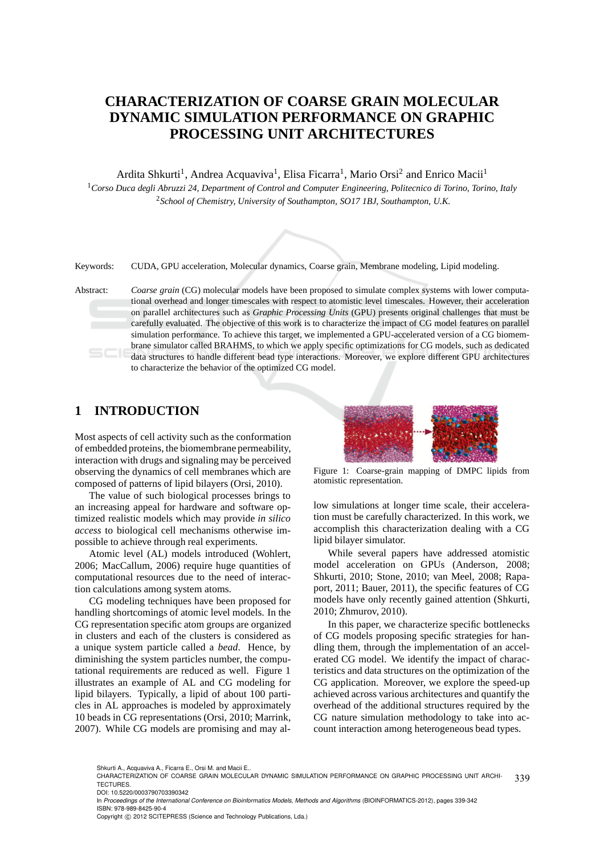# **CHARACTERIZATION OF COARSE GRAIN MOLECULAR DYNAMIC SIMULATION PERFORMANCE ON GRAPHIC PROCESSING UNIT ARCHITECTURES**

Ardita Shkurti<sup>1</sup>, Andrea Acquaviva<sup>1</sup>, Elisa Ficarra<sup>1</sup>, Mario Orsi<sup>2</sup> and Enrico Macii<sup>1</sup> <sup>1</sup>*Corso Duca degli Abruzzi 24, Department of Control and Computer Engineering, Politecnico di Torino, Torino, Italy* <sup>2</sup>*School of Chemistry, University of Southampton, SO17 1BJ, Southampton, U.K.*



Keywords: CUDA, GPU acceleration, Molecular dynamics, Coarse grain, Membrane modeling, Lipid modeling.

Abstract: *Coarse grain* (CG) molecular models have been proposed to simulate complex systems with lower computational overhead and longer timescales with respect to atomistic level timescales. However, their acceleration on parallel architectures such as *Graphic Processing Units* (GPU) presents original challenges that must be carefully evaluated. The objective of this work is to characterize the impact of CG model features on parallel simulation performance. To achieve this target, we implemented a GPU-accelerated version of a CG biomembrane simulator called BRAHMS, to which we apply specific optimizations for CG models, such as dedicated data structures to handle different bead type interactions. Moreover, we explore different GPU architectures to characterize the behavior of the optimized CG model.

## **1 INTRODUCTION**

Most aspects of cell activity such as the conformation of embedded proteins, the biomembrane permeability, interaction with drugs and signaling may be perceived observing the dynamics of cell membranes which are composed of patterns of lipid bilayers (Orsi, 2010).

The value of such biological processes brings to an increasing appeal for hardware and software optimized realistic models which may provide *in silico access* to biological cell mechanisms otherwise impossible to achieve through real experiments.

Atomic level (AL) models introduced (Wohlert, 2006; MacCallum, 2006) require huge quantities of computational resources due to the need of interaction calculations among system atoms.

CG modeling techniques have been proposed for handling shortcomings of atomic level models. In the CG representation specific atom groups are organized in clusters and each of the clusters is considered as a unique system particle called a *bead*. Hence, by diminishing the system particles number, the computational requirements are reduced as well. Figure 1 illustrates an example of AL and CG modeling for lipid bilayers. Typically, a lipid of about 100 particles in AL approaches is modeled by approximately 10 beads in CG representations (Orsi, 2010; Marrink, 2007). While CG models are promising and may al-



Figure 1: Coarse-grain mapping of DMPC lipids from atomistic representation.

low simulations at longer time scale, their acceleration must be carefully characterized. In this work, we accomplish this characterization dealing with a CG lipid bilayer simulator.

While several papers have addressed atomistic model acceleration on GPUs (Anderson, 2008; Shkurti, 2010; Stone, 2010; van Meel, 2008; Rapaport, 2011; Bauer, 2011), the specific features of CG models have only recently gained attention (Shkurti, 2010; Zhmurov, 2010).

In this paper, we characterize specific bottlenecks of CG models proposing specific strategies for handling them, through the implementation of an accelerated CG model. We identify the impact of characteristics and data structures on the optimization of the CG application. Moreover, we explore the speed-up achieved across various architectures and quantify the overhead of the additional structures required by the CG nature simulation methodology to take into account interaction among heterogeneous bead types.

Shkurti A., Acquaviva A., Ficarra E., Orsi M. and Macii E..

- DOI: 10.5220/0003790703390342
- In Proceedings of the International Conference on Bioinformatics Models, Methods and Algorithms (BIOINFORMATICS-2012), pages 339-342 ISBN: 978-989-8425-90-4

<sup>339</sup> CHARACTERIZATION OF COARSE GRAIN MOLECULAR DYNAMIC SIMULATION PERFORMANCE ON GRAPHIC PROCESSING UNIT ARCHI-**TECTURES** 

Copyright © 2012 SCITEPRESS (Science and Technology Publications, Lda.)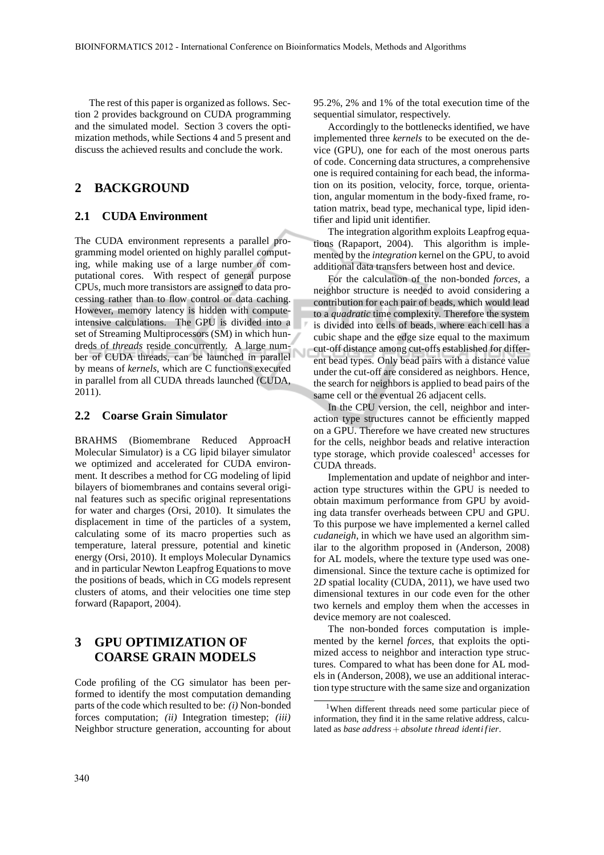The rest of this paper is organized as follows. Section 2 provides background on CUDA programming and the simulated model. Section 3 covers the optimization methods, while Sections 4 and 5 present and discuss the achieved results and conclude the work.

### **2 BACKGROUND**

#### **2.1 CUDA Environment**

The CUDA environment represents a parallel programming model oriented on highly parallel computing, while making use of a large number of computational cores. With respect of general purpose CPUs, much more transistors are assigned to data processing rather than to flow control or data caching. However, memory latency is hidden with computeintensive calculations. The GPU is divided into a set of Streaming Multiprocessors (SM) in which hundreds of *threads* reside concurrently. A large number of CUDA threads, can be launched in parallel by means of *kernels*, which are C functions executed in parallel from all CUDA threads launched (CUDA, 2011).

#### **2.2 Coarse Grain Simulator**

BRAHMS (Biomembrane Reduced ApproacH Molecular Simulator) is a CG lipid bilayer simulator we optimized and accelerated for CUDA environment. It describes a method for CG modeling of lipid bilayers of biomembranes and contains several original features such as specific original representations for water and charges (Orsi, 2010). It simulates the displacement in time of the particles of a system, calculating some of its macro properties such as temperature, lateral pressure, potential and kinetic energy (Orsi, 2010). It employs Molecular Dynamics and in particular Newton Leapfrog Equations to move the positions of beads, which in CG models represent clusters of atoms, and their velocities one time step forward (Rapaport, 2004).

## **3 GPU OPTIMIZATION OF COARSE GRAIN MODELS**

Code profiling of the CG simulator has been performed to identify the most computation demanding parts of the code which resulted to be: *(i)* Non-bonded forces computation; *(ii)* Integration timestep; *(iii)* Neighbor structure generation, accounting for about 95.2%, 2% and 1% of the total execution time of the sequential simulator, respectively.

Accordingly to the bottlenecks identified, we have implemented three *kernels* to be executed on the device (GPU), one for each of the most onerous parts of code. Concerning data structures, a comprehensive one is required containing for each bead, the information on its position, velocity, force, torque, orientation, angular momentum in the body-fixed frame, rotation matrix, bead type, mechanical type, lipid identifier and lipid unit identifier.

The integration algorithm exploits Leapfrog equations (Rapaport, 2004). This algorithm is implemented by the *integration* kernel on the GPU, to avoid additional data transfers between host and device.

For the calculation of the non-bonded *forces*, a neighbor structure is needed to avoid considering a contribution for each pair of beads, which would lead to a *quadratic* time complexity. Therefore the system is divided into cells of beads, where each cell has a cubic shape and the edge size equal to the maximum cut-off distance among cut-offs established for different bead types. Only bead pairs with a distance value under the cut-off are considered as neighbors. Hence, the search for neighbors is applied to bead pairs of the same cell or the eventual 26 adjacent cells.

In the CPU version, the cell, neighbor and interaction type structures cannot be efficiently mapped on a GPU. Therefore we have created new structures for the cells, neighbor beads and relative interaction type storage, which provide coalesced<sup>1</sup> accesses for CUDA threads.

Implementation and update of neighbor and interaction type structures within the GPU is needed to obtain maximum performance from GPU by avoiding data transfer overheads between CPU and GPU. To this purpose we have implemented a kernel called *cudaneigh*, in which we have used an algorithm similar to the algorithm proposed in (Anderson, 2008) for AL models, where the texture type used was onedimensional. Since the texture cache is optimized for 2*D* spatial locality (CUDA, 2011), we have used two dimensional textures in our code even for the other two kernels and employ them when the accesses in device memory are not coalesced.

The non-bonded forces computation is implemented by the kernel *forces*, that exploits the optimized access to neighbor and interaction type structures. Compared to what has been done for AL models in (Anderson, 2008), we use an additional interaction type structure with the same size and organization

<sup>&</sup>lt;sup>1</sup>When different threads need some particular piece of information, they find it in the same relative address, calculated as *base address*+*absolute thread identi f ier*.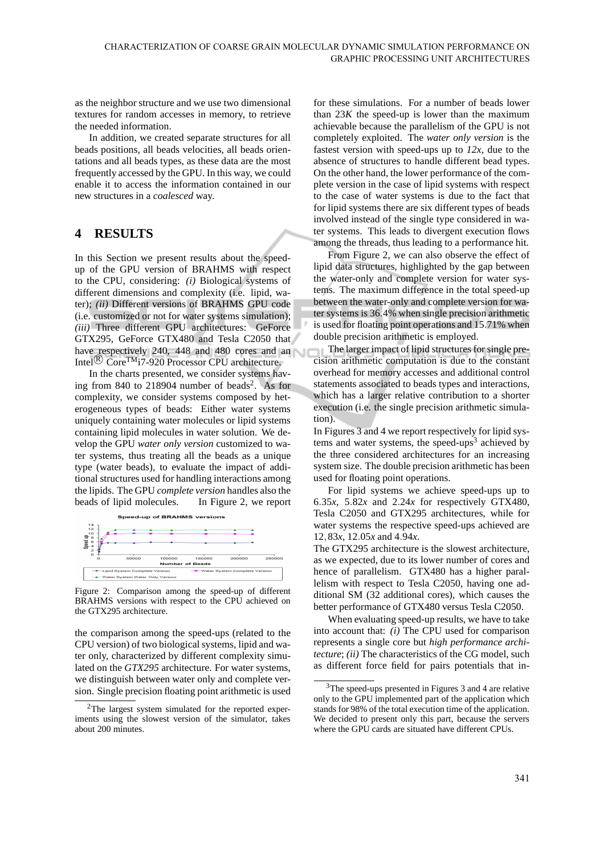as the neighbor structure and we use two dimensional textures for random accesses in memory, to retrieve the needed information.

In addition, we created separate structures for all beads positions, all beads velocities, all beads orientations and all beads types, as these data are the most frequently accessed by the GPU. In this way, we could enable it to access the information contained in our new structures in a *coalesced* way.

## **4 RESULTS**

In this Section we present results about the speedup of the GPU version of BRAHMS with respect to the CPU, considering: *(i)* Biological systems of different dimensions and complexity (i.e. lipid, water); *(ii)* Different versions of BRAHMS GPU code (i.e. customized or not for water systems simulation); *(iii)* Three different GPU architectures: GeForce GTX295, GeForce GTX480 and Tesla C2050 that have respectively 240, 448 and 480 cores and an Intel<sup>(R)</sup> Core<sup>TM</sup>i7-920 Processor CPU architecture.

In the charts presented, we consider systems having from 840 to 218904 number of beads<sup>2</sup>. As for complexity, we consider systems composed by heterogeneous types of beads: Either water systems uniquely containing water molecules or lipid systems containing lipid molecules in water solution. We develop the GPU *water only version* customized to water systems, thus treating all the beads as a unique type (water beads), to evaluate the impact of additional structures used for handling interactions among the lipids. The GPU *complete version* handles also the beads of lipid molecules. In Figure 2, we report



Figure 2: Comparison among the speed-up of different BRAHMS versions with respect to the CPU achieved on the GTX295 architecture.

the comparison among the speed-ups (related to the CPU version) of two biological systems, lipid and water only, characterized by different complexity simulated on the *GTX295* architecture. For water systems, we distinguish between water only and complete version. Single precision floating point arithmetic is used

for these simulations. For a number of beads lower than  $23K$  the speed-up is lower than the maximum achievable because the parallelism of the GPU is not completely exploited. The *water only version* is the fastest version with speed-ups up to *12x*, due to the absence of structures to handle different bead types. On the other hand, the lower performance of the complete version in the case of lipid systems with respect to the case of water systems is due to the fact that for lipid systems there are six different types of beads involved instead of the single type considered in water systems. This leads to divergent execution flows among the threads, thus leading to a performance hit.

From Figure 2, we can also observe the effect of lipid data structures, highlighted by the gap between the water-only and complete version for water systems. The maximum difference in the total speed-up between the water-only and complete version for water systems is 36.4% when single precision arithmetic is used for floating point operations and 15.71% when double precision arithmetic is employed.

The larger impact of lipid structures for single precision arithmetic computation is due to the constant overhead for memory accesses and additional control statements associated to beads types and interactions, which has a larger relative contribution to a shorter execution (i.e. the single precision arithmetic simulation).

In Figures 3 and 4 we report respectively for lipid systems and water systems, the speed-ups<sup>3</sup> achieved by the three considered architectures for an increasing system size. The double precision arithmetic has been used for floating point operations.

For lipid systems we achieve speed-ups up to 6.35 $x$ , 5.82 $x$  and 2.24 $x$  for respectively GTX480, Tesla C2050 and GTX295 architectures, while for water systems the respective speed-ups achieved are 12,83*x*, 12.05*x* and 4.94*x*.

The GTX295 architecture is the slowest architecture, as we expected, due to its lower number of cores and hence of parallelism. GTX480 has a higher parallelism with respect to Tesla C2050, having one additional SM (32 additional cores), which causes the better performance of GTX480 versus Tesla C2050.

When evaluating speed-up results, we have to take into account that: *(i)* The CPU used for comparison represents a single core but *high performance architecture*; *(ii)* The characteristics of the CG model, such as different force field for pairs potentials that in-

<sup>2</sup>The largest system simulated for the reported experiments using the slowest version of the simulator, takes about 200 minutes.

<sup>3</sup>The speed-ups presented in Figures 3 and 4 are relative only to the GPU implemented part of the application which stands for 98% of the total execution time of the application. We decided to present only this part, because the servers where the GPU cards are situated have different CPUs.